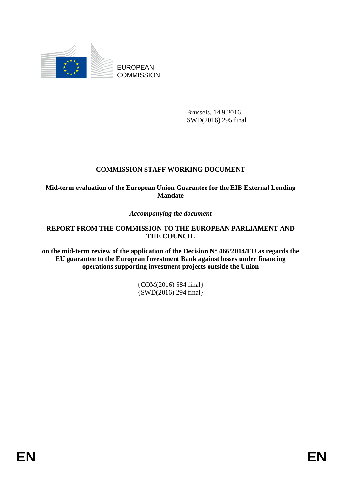

EUROPEAN **COMMISSION** 

> Brussels, 14.9.2016 SWD(2016) 295 final

# **COMMISSION STAFF WORKING DOCUMENT**

**Mid-term evaluation of the European Union Guarantee for the EIB External Lending Mandate**

*Accompanying the document*

**REPORT FROM THE COMMISSION TO THE EUROPEAN PARLIAMENT AND THE COUNCIL**

**on the mid-term review of the application of the Decision N° 466/2014/EU as regards the EU guarantee to the European Investment Bank against losses under financing operations supporting investment projects outside the Union**

> {COM(2016) 584 final} {SWD(2016) 294 final}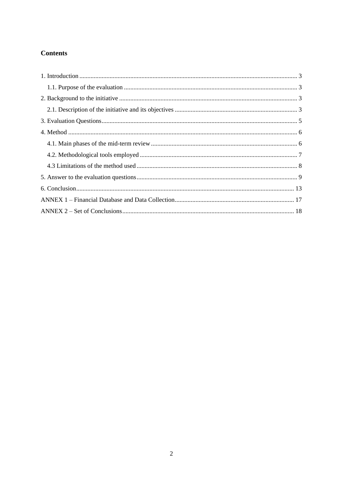# **Contents**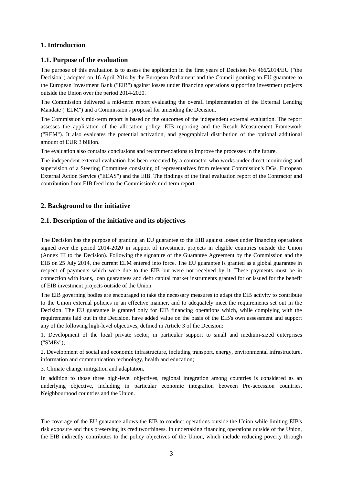# <span id="page-2-0"></span>**1. Introduction**

# <span id="page-2-1"></span>**1.1. Purpose of the evaluation**

The purpose of this evaluation is to assess the application in the first years of Decision No 466/2014/EU ("the Decision") adopted on 16 April 2014 by the European Parliament and the Council granting an EU guarantee to the European Investment Bank ("EIB") against losses under financing operations supporting investment projects outside the Union over the period 2014-2020.

The Commission delivered a mid-term report evaluating the overall implementation of the External Lending Mandate ("ELM") and a Commission's proposal for amending the Decision.

The Commission's mid-term report is based on the outcomes of the independent external evaluation. The report assesses the application of the allocation policy, EIB reporting and the Result Measurement Framework ("REM"). It also evaluates the potential activation, and geographical distribution of the optional additional amount of EUR 3 billion.

The evaluation also contains conclusions and recommendations to improve the processes in the future.

The independent external evaluation has been executed by a contractor who works under direct monitoring and supervision of a Steering Committee consisting of representatives from relevant Commission's DGs, European External Action Service ("EEAS") and the EIB. The findings of the final evaluation report of the Contractor and contribution from EIB feed into the Commission's mid-term report.

# <span id="page-2-2"></span>**2. Background to the initiative**

### <span id="page-2-3"></span>**2.1. Description of the initiative and its objectives**

The Decision has the purpose of granting an EU guarantee to the EIB against losses under financing operations signed over the period 2014-2020 in support of investment projects in eligible countries outside the Union (Annex III to the Decision). Following the signature of the Guarantee Agreement by the Commission and the EIB on 25 July 2014, the current ELM entered into force. The EU guarantee is granted as a global guarantee in respect of payments which were due to the EIB but were not received by it. These payments must be in connection with loans, loan guarantees and debt capital market instruments granted for or issued for the benefit of EIB investment projects outside of the Union.

The EIB governing bodies are encouraged to take the necessary measures to adapt the EIB activity to contribute to the Union external policies in an effective manner, and to adequately meet the requirements set out in the Decision. The EU guarantee is granted only for EIB financing operations which, while complying with the requirements laid out in the Decision, have added value on the basis of the EIB's own assessment and support any of the following high-level objectives, defined in Article 3 of the Decision:

1. Development of the local private sector, in particular support to small and medium-sized enterprises ("SMEs");

2. Development of social and economic infrastructure, including transport, energy, environmental infrastructure, information and communication technology, health and education;

3. Climate change mitigation and adaptation.

In addition to those three high-level objectives, regional integration among countries is considered as an underlying objective, including in particular economic integration between Pre-accession countries, Neighbourhood countries and the Union.

The coverage of the EU guarantee allows the EIB to conduct operations outside the Union while limiting EIB's risk exposure and thus preserving its creditworthiness. In undertaking financing operations outside of the Union, the EIB indirectly contributes to the policy objectives of the Union, which include reducing poverty through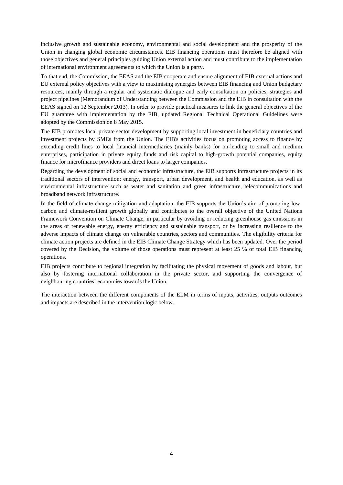inclusive growth and sustainable economy, environmental and social development and the prosperity of the Union in changing global economic circumstances. EIB financing operations must therefore be aligned with those objectives and general principles guiding Union external action and must contribute to the implementation of international environment agreements to which the Union is a party.

To that end, the Commission, the EEAS and the EIB cooperate and ensure alignment of EIB external actions and EU external policy objectives with a view to maximising synergies between EIB financing and Union budgetary resources, mainly through a regular and systematic dialogue and early consultation on policies, strategies and project pipelines (Memorandum of Understanding between the Commission and the EIB in consultation with the EEAS signed on 12 September 2013). In order to provide practical measures to link the general objectives of the EU guarantee with implementation by the EIB, updated Regional Technical Operational Guidelines were adopted by the Commission on 8 May 2015.

The EIB promotes local private sector development by supporting local investment in beneficiary countries and investment projects by SMEs from the Union. The EIB's activities focus on promoting access to finance by extending credit lines to local financial intermediaries (mainly banks) for on-lending to small and medium enterprises, participation in private equity funds and risk capital to high-growth potential companies, equity finance for microfinance providers and direct loans to larger companies.

Regarding the development of social and economic infrastructure, the EIB supports infrastructure projects in its traditional sectors of intervention: energy, transport, urban development, and health and education, as well as environmental infrastructure such as water and sanitation and green infrastructure, telecommunications and broadband network infrastructure.

In the field of climate change mitigation and adaptation, the EIB supports the Union's aim of promoting lowcarbon and climate-resilient growth globally and contributes to the overall objective of the United Nations Framework Convention on Climate Change, in particular by avoiding or reducing greenhouse gas emissions in the areas of renewable energy, energy efficiency and sustainable transport, or by increasing resilience to the adverse impacts of climate change on vulnerable countries, sectors and communities. The eligibility criteria for climate action projects are defined in the EIB Climate Change Strategy which has been updated. Over the period covered by the Decision, the volume of those operations must represent at least 25 % of total EIB financing operations.

EIB projects contribute to regional integration by facilitating the physical movement of goods and labour, but also by fostering international collaboration in the private sector, and supporting the convergence of neighbouring countries' economies towards the Union.

The interaction between the different components of the ELM in terms of inputs, activities, outputs outcomes and impacts are described in the intervention logic below.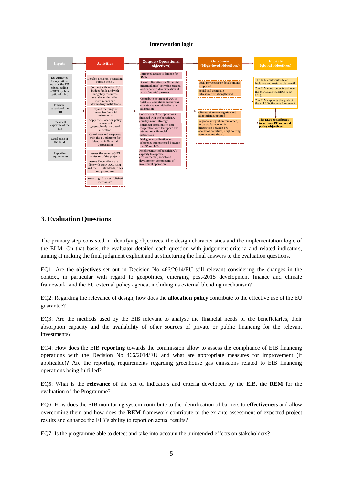# **Intervention logic** *Intervention logic*



### <span id="page-4-0"></span>**3. Evaluation Questions**

The primary step consisted in identifying objectives, the design characteristics and the implementation logic of the ELM. On that basis, the evaluator detailed each question with judgement criteria and related indicators, aiming at making the final judgment explicit and at structuring the final answers to the evaluation questions.

EQ1: Are the **objectives** set out in Decision No 466/2014/EU still relevant considering the changes in the context, in particular with regard to geopolitics, emerging post-2015 development finance and climate framework, and the EU external policy agenda, including its external blending mechanism?

EQ2: Regarding the relevance of design, how does the **allocation policy** contribute to the effective use of the EU guarantee?

EQ3: Are the methods used by the EIB relevant to analyse the financial needs of the beneficiaries, their absorption capacity and the availability of other sources of private or public financing for the relevant investments?

EQ4: How does the EIB **reporting** towards the commission allow to assess the compliance of EIB financing operations with the Decision No 466/2014/EU and what are appropriate measures for improvement (if applicable)? Are the reporting requirements regarding greenhouse gas emissions related to EIB financing operations being fulfilled?

EQ5: What is the **relevance** of the set of indicators and criteria developed by the EIB, the **REM** for the evaluation of the Programme?

EQ6: How does the EIB monitoring system contribute to the identification of barriers to **effectiveness** and allow overcoming them and how does the **REM** framework contribute to the ex-ante assessment of expected project results and enhance the EIB's ability to report on actual results?

EQ7: Is the programme able to detect and take into account the unintended effects on stakeholders?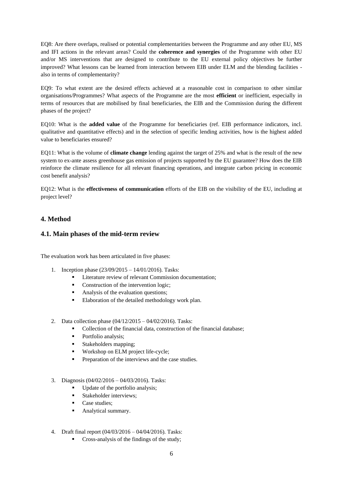EQ8: Are there overlaps, realised or potential complementarities between the Programme and any other EU, MS and IFI actions in the relevant areas? Could the **coherence and synergies** of the Programme with other EU and/or MS interventions that are designed to contribute to the EU external policy objectives be further improved? What lessons can be learned from interaction between EIB under ELM and the blending facilities also in terms of complementarity?

EQ9: To what extent are the desired effects achieved at a reasonable cost in comparison to other similar organisations/Programmes? What aspects of the Programme are the most **efficient** or inefficient, especially in terms of resources that are mobilised by final beneficiaries, the EIB and the Commission during the different phases of the project?

EQ10: What is the **added value** of the Programme for beneficiaries (ref. EIB performance indicators, incl. qualitative and quantitative effects) and in the selection of specific lending activities, how is the highest added value to beneficiaries ensured?

EQ11: What is the volume of **climate change** lending against the target of 25% and what is the result of the new system to ex-ante assess greenhouse gas emission of projects supported by the EU guarantee? How does the EIB reinforce the climate resilience for all relevant financing operations, and integrate carbon pricing in economic cost benefit analysis?

EQ12: What is the **effectiveness of communication** efforts of the EIB on the visibility of the EU, including at project level?

# <span id="page-5-0"></span>**4. Method**

### <span id="page-5-1"></span>**4.1. Main phases of the mid-term review**

The evaluation work has been articulated in five phases:

- 1. Inception phase (23/09/2015 14/01/2016). Tasks:
	- Literature review of relevant Commission documentation;
	- Construction of the intervention logic;
	- Analysis of the evaluation questions;
	- **Elaboration of the detailed methodology work plan.**
- 2. Data collection phase (04/12/2015 04/02/2016). Tasks:
	- Collection of the financial data, construction of the financial database;
	- Portfolio analysis;
	- **Stakeholders mapping:**
	- Workshop on ELM project life-cycle;
	- Preparation of the interviews and the case studies.
- 3. Diagnosis (04/02/2016 04/03/2016). Tasks:
	- Update of the portfolio analysis;
	- Stakeholder interviews:
	- Case studies:
	- Analytical summary.
- 4. Draft final report (04/03/2016 04/04/2016). Tasks:
	- Cross-analysis of the findings of the study;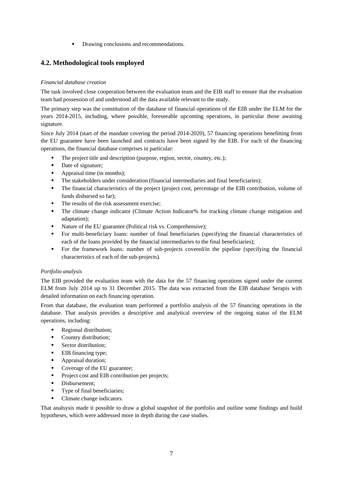**•** Drawing conclusions and recommendations.

# <span id="page-6-0"></span>**4.2. Methodological tools employed**

### *Financial database creation*

The task involved close cooperation between the evaluation team and the EIB staff to ensure that the evaluation team had possession of and understood all the data available relevant to the study.

The primary step was the constitution of the database of financial operations of the EIB under the ELM for the years 2014-2015, including, where possible, foreseeable upcoming operations, in particular those awaiting signature.

Since July 2014 (start of the mandate covering the period 2014-2020), 57 financing operations benefitting from the EU guarantee have been launched and contracts have been signed by the EIB. For each of the financing operations, the financial database comprises in particular:

- The project title and description (purpose, region, sector, country, etc.);
- Date of signature;
- Appraisal time (in months);
- The stakeholders under consideration (financial intermediaries and final beneficiaries);
- The financial characteristics of the project (project cost, percentage of the EIB contribution, volume of funds disbursed so far);
- The results of the risk assessment exercise;
- The climate change indicator (Climate Action Indicator% for tracking climate change mitigation and adaptation);
- Nature of the EU guarantee (Political risk vs. Comprehensive);
- For multi-beneficiary loans: number of final beneficiaries (specifying the financial characteristics of each of the loans provided by the financial intermediaries to the final beneficiaries);
- For the framework loans: number of sub-projects covered/in the pipeline (specifying the financial characteristics of each of the sub-projects).

### *Portfolio analysis*

The EIB provided the evaluation team with the data for the 57 financing operations signed under the current ELM from July 2014 up to 31 December 2015. The data was extracted from the EIB database Serapis with detailed information on each financing operation.

From that database, the evaluation team performed a portfolio analysis of the 57 financing operations in the database. That analysis provides a descriptive and analytical overview of the ongoing status of the ELM operations, including:

- Regional distribution;
- Country distribution;
- Sector distribution;
- EIB financing type;
- Appraisal duration;
- Coverage of the EU guarantee;
- **Project cost and EIB contribution per projects;**
- Disbursement:
- **Type of final beneficiaries;**
- Climate change indicators.

That analsysis made it possible to draw a global snapshot of the portfolio and outline some findings and build hypotheses, which were addressed more in depth during the case studies.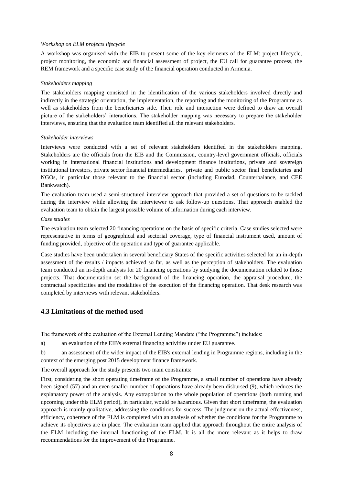#### *Workshop on ELM projects lifecycle*

A workshop was organised with the EIB to present some of the key elements of the ELM: project lifecycle, project monitoring, the economic and financial assessment of project, the EU call for guarantee process, the REM framework and a specific case study of the financial operation conducted in Armenia.

#### *Stakeholders mapping*

The stakeholders mapping consisted in the identification of the various stakeholders involved directly and indirectly in the strategic orientation, the implementation, the reporting and the monitoring of the Programme as well as stakeholders from the beneficiaries side. Their role and interaction were defined to draw an overall picture of the stakeholders' interactions. The stakeholder mapping was necessary to prepare the stakeholder interviews, ensuring that the evaluation team identified all the relevant stakeholders.

#### *Stakeholder interviews*

Interviews were conducted with a set of relevant stakeholders identified in the stakeholders mapping. Stakeholders are the officials from the EIB and the Commission, country-level government officials, officials working in international financial institutions and development finance institutions, private and sovereign institutional investors, private sector financial intermediaries, private and public sector final beneficiaries and NGOs, in particular those relevant to the financial sector (including Eurodad, Counterbalance, and CEE Bankwatch).

The evaluation team used a semi-structured interview approach that provided a set of questions to be tackled during the interview while allowing the interviewer to ask follow-up questions. That approach enabled the evaluation team to obtain the largest possible volume of information during each interview.

#### *Case studies*

The evaluation team selected 20 financing operations on the basis of specific criteria. Case studies selected were representative in terms of geographical and sectorial coverage, type of financial instrument used, amount of funding provided, objective of the operation and type of guarantee applicable.

Case studies have been undertaken in several beneficiary States of the specific activities selected for an in-depth assessment of the results / impacts achieved so far, as well as the perception of stakeholders. The evaluation team conducted an in-depth analysis for 20 financing operations by studying the documentation related to those projects. That documentation set the background of the financing operation, the appraisal procedure, the contractual specificities and the modalities of the execution of the financing operation. That desk research was completed by interviews with relevant stakeholders.

### <span id="page-7-0"></span>**4.3 Limitations of the method used**

The framework of the evaluation of the External Lending Mandate ("the Programme") includes:

a) an evaluation of the EIB's external financing activities under EU guarantee.

b) an assessment of the wider impact of the EIB's external lending in Programme regions, including in the context of the emerging post 2015 development finance framework.

The overall approach for the study presents two main constraints:

First, considering the short operating timeframe of the Programme, a small number of operations have already been signed (57) and an even smaller number of operations have already been disbursed (9), which reduces the explanatory power of the analysis. Any extrapolation to the whole population of operations (both running and upcoming under this ELM period), in particular, would be hazardous. Given that short timeframe, the evaluation approach is mainly qualitative, addressing the conditions for success. The judgment on the actual effectiveness, efficiency, coherence of the ELM is completed with an analysis of whether the conditions for the Programme to achieve its objectives are in place. The evaluation team applied that approach throughout the entire analysis of the ELM including the internal functioning of the ELM. It is all the more relevant as it helps to draw recommendations for the improvement of the Programme.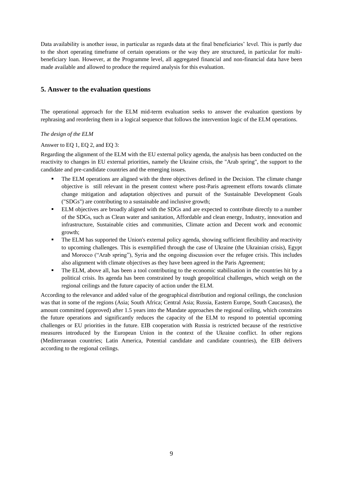Data availability is another issue, in particular as regards data at the final beneficiaries' level. This is partly due to the short operating timeframe of certain operations or the way they are structured, in particular for multibeneficiary loan. However, at the Programme level, all aggregated financial and non-financial data have been made available and allowed to produce the required analysis for this evaluation.

# <span id="page-8-0"></span>**5. Answer to the evaluation questions**

The operational approach for the ELM mid-term evaluation seeks to answer the evaluation questions by rephrasing and reordering them in a logical sequence that follows the intervention logic of the ELM operations.

*The design of the ELM* 

Answer to EQ 1, EQ 2, and EQ 3:

Regarding the alignment of the ELM with the EU external policy agenda, the analysis has been conducted on the reactivity to changes in EU external priorities, namely the Ukraine crisis, the "Arab spring", the support to the candidate and pre-candidate countries and the emerging issues.

- The ELM operations are aligned with the three objectives defined in the Decision. The climate change objective is still relevant in the present context where post-Paris agreement efforts towards climate change mitigation and adaptation objectives and pursuit of the Sustainable Development Goals ("SDGs") are contributing to a sustainable and inclusive growth;
- ELM objectives are broadly aligned with the SDGs and are expected to contribute directly to a number of the SDGs, such as Clean water and sanitation, Affordable and clean energy, Industry, innovation and infrastructure, Sustainable cities and communities, Climate action and Decent work and economic growth;
- The ELM has supported the Union's external policy agenda, showing sufficient flexibility and reactivity to upcoming challenges. This is exemplified through the case of Ukraine (the Ukrainian crisis), Egypt and Morocco ("Arab spring"), Syria and the ongoing discussion over the refugee crisis. This includes also alignment with climate objectives as they have been agreed in the Paris Agreement;
- The ELM, above all, has been a tool contributing to the economic stabilisation in the countries hit by a political crisis. Its agenda has been constrained by tough geopolitical challenges, which weigh on the regional ceilings and the future capacity of action under the ELM.

According to the relevance and added value of the geographical distribution and regional ceilings, the conclusion was that in some of the regions (Asia; South Africa; Central Asia; Russia, Eastern Europe, South Caucasus), the amount committed (approved) after 1.5 years into the Mandate approaches the regional ceiling, which constrains the future operations and significantly reduces the capacity of the ELM to respond to potential upcoming challenges or EU priorities in the future. EIB cooperation with Russia is restricted because of the restrictive measures introduced by the European Union in the context of the Ukraine conflict. In other regions (Mediterranean countries; Latin America, Potential candidate and candidate countries), the EIB delivers according to the regional ceilings.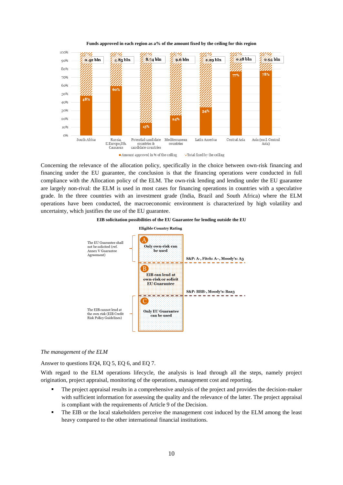

**Funds approved in each region as a% of the amount fixed by the ceiling for this region**

Concerning the relevance of the allocation policy, specifically in the choice between own-risk financing and financing under the EU guarantee, the conclusion is that the financing operations were conducted in full compliance with the Allocation policy of the ELM. The own-risk lending and lending under the EU guarantee are largely non-rival: the ELM is used in most cases for financing operations in countries with a speculative grade. In the three countries with an investment grade (India, Brazil and South Africa) where the ELM operations have been conducted, the macroeconomic environment is characterized by high volatility and uncertainty, which justifies the use of the EU guarantee.





#### *The management of the ELM*

Answer to questions EQ4, EQ 5, EQ 6, and EQ 7.

With regard to the ELM operations lifecycle, the analysis is lead through all the steps, namely project origination, project appraisal, monitoring of the operations, management cost and reporting.

- The project appraisal results in a comprehensive analysis of the project and provides the decision-maker with sufficient information for assessing the quality and the relevance of the latter. The project appraisal is compliant with the requirements of Article 9 of the Decision.
- The EIB or the local stakeholders perceive the management cost induced by the ELM among the least heavy compared to the other international financial institutions.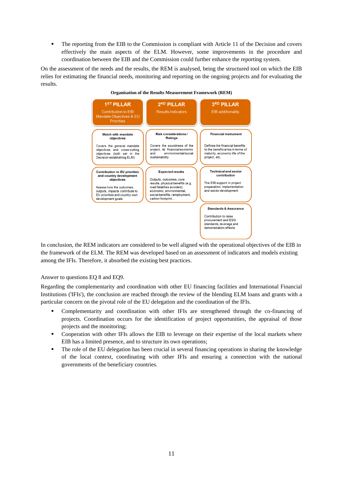The reporting from the EIB to the Commission is compliant with Article 11 of the Decision and covers effectively the main aspects of the ELM. However, some improvements in the procedure and coordination between the EIB and the Commission could further enhance the reporting system.

On the assessment of the needs and the results, the REM is analysed, being the structured tool on which the EIB relies for estimating the financial needs, monitoring and reporting on the ongoing projects and for evaluating the results.



In conclusion, the REM indicators are considered to be well aligned with the operational objectives of the EIB in the framework of the ELM. The REM was developed based on an assessment of indicators and models existing among the IFIs. Therefore, it absorbed the existing best practices.

Answer to questions EQ 8 and EQ9.

Regarding the complementarity and coordination with other EU financing facilities and International Financial Institutions ('IFIs'), the conclusion are reached through the review of the blending ELM loans and grants with a particular concern on the pivotal role of the EU delegation and the coordination of the IFIs.

- Complementarity and coordination with other IFIs are strengthened through the co-financing of projects. Coordination occurs for the identification of project opportunities, the appraisal of those projects and the monitoring;
- Cooperation with other IFIs allows the EIB to leverage on their expertise of the local markets where EIB has a limited presence, and to structure its own operations;
- The role of the EU delegation has been crucial in several financing operations in sharing the knowledge of the local context, coordinating with other IFIs and ensuring a connection with the national governments of the beneficiary countries.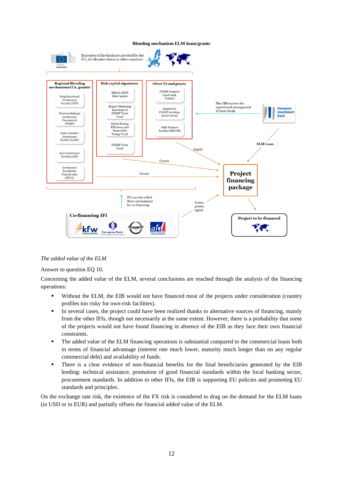

### *The added value of the ELM*

Answer to question EQ 10.

Concerning the added value of the ELM, several conclusions are reached through the analysis of the financing operations:

- Without the ELM, the EIB would not have financed most of the projects under consideration (country profiles too risky for own-risk facilities).
- In several cases, the project could have been realized thanks to alternative sources of financing, mainly from the other IFIs, though not necessarily at the same extent. However, there is a probability that some of the projects would not have found financing in absence of the EIB as they face their own financial constraints.
- The added value of the ELM financing operations is substantial compared to the commercial loans both in terms of financial advantage (interest rate much lower, maturity much longer than on any regular commercial debt) and availability of funds.
- There is a clear evidence of non-financial benefits for the final beneficiaries generated by the EIB lending: technical assistance, promotion of good financial standards within the local banking sector, procurement standards. In addition to other IFIs, the EIB is supporting EU policies and promoting EU standards and principles.

On the exchange rate risk, the existence of the FX risk is considered to drag on the demand for the ELM loans (in USD or in EUR) and partially offsets the financial added value of the ELM.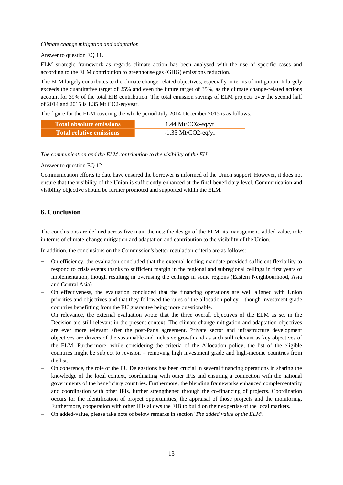#### *Climate change mitigation and adaptation*

#### Answer to question EQ 11.

ELM strategic framework as regards climate action has been analysed with the use of specific cases and according to the ELM contribution to greenhouse gas (GHG) emissions reduction.

The ELM largely contributes to the climate change-related objectives, especially in terms of mitigation. It largely exceeds the quantitative target of 25% and even the future target of 35%, as the climate change-related actions account for 39% of the total EIB contribution. The total emission savings of ELM projects over the second half of 2014 and 2015 is 1.35 Mt CO2-eq/year.

The figure for the ELM covering the whole period July 2014-December 2015 is as follows:

| Total absolute emissions        | $1.44$ Mt/CO2-eq/yr  |
|---------------------------------|----------------------|
| <b>Total relative emissions</b> | $-1.35$ Mt/CO2-eq/yr |

#### *The communication and the ELM contribution to the visibility of the EU*

#### Answer to question EQ 12.

Communication efforts to date have ensured the borrower is informed of the Union support. However, it does not ensure that the visibility of the Union is sufficiently enhanced at the final beneficiary level. Communication and visibility objective should be further promoted and supported within the ELM.

### <span id="page-12-0"></span>**6. Conclusion**

The conclusions are defined across five main themes: the design of the ELM, its management, added value, role in terms of climate-change mitigation and adaptation and contribution to the visibility of the Union.

In addition, the conclusions on the Commission's better regulation criteria are as follows:

- On efficiency, the evaluation concluded that the external lending mandate provided sufficient flexibility to respond to crisis events thanks to sufficient margin in the regional and subregional ceilings in first years of implementation, though resulting in overusing the ceilings in some regions (Eastern Neighbourhood, Asia and Central Asia).
- On effectiveness, the evaluation concluded that the financing operations are well aligned with Union priorities and objectives and that they followed the rules of the allocation policy – though investment grade countries benefitting from the EU guarantee being more questionable.
- On relevance, the external evaluation wrote that the three overall objectives of the ELM as set in the Decision are still relevant in the present context. The climate change mitigation and adaptation objectives are ever more relevant after the post-Paris agreement. Private sector and infrastructure development objectives are drivers of the sustainable and inclusive growth and as such still relevant as key objectives of the ELM. Furthermore, while considering the criteria of the Allocation policy, the list of the eligible countries might be subject to revision – removing high investment grade and high-income countries from the list.
- On coherence, the role of the EU Delegations has been crucial in several financing operations in sharing the knowledge of the local context, coordinating with other IFIs and ensuring a connection with the national governments of the beneficiary countries. Furthermore, the blending frameworks enhanced complementarity and coordination with other IFIs, further strengthened through the co-financing of projects. Coordination occurs for the identification of project opportunities, the appraisal of those projects and the monitoring. Furthermore, cooperation with other IFIs allows the EIB to build on their expertise of the local markets.
- On added-value, please take note of below remarks in section '*The added value of the ELM'*.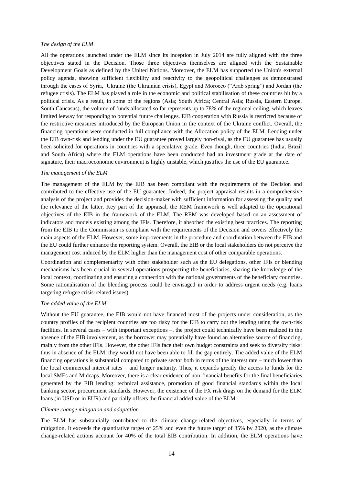#### *The design of the ELM*

All the operations launched under the ELM since its inception in July 2014 are fully aligned with the three objectives stated in the Decision. Those three objectives themselves are aligned with the Sustainable Development Goals as defined by the United Nations. Moreover, the ELM has supported the Union's external policy agenda, showing sufficient flexibility and reactivity to the geopolitical challenges as demonstrated through the cases of Syria, Ukraine (the Ukrainian crisis), Egypt and Morocco ("Arab spring") and Jordan (the refugee crisis). The ELM has played a role in the economic and political stabilisation of these countries hit by a political crisis. As a result, in some of the regions (Asia; South Africa; Central Asia; Russia, Eastern Europe, South Caucasus), the volume of funds allocated so far represents up to 78% of the regional ceiling, which leaves limited leeway for responding to potential future challenges. EIB cooperation with Russia is restricted because of the restrictive measures introduced by the European Union in the context of the Ukraine conflict. Overall, the financing operations were conducted in full compliance with the Allocation policy of the ELM. Lending under the EIB own-risk and lending under the EU guarantee proved largely non-rival, as the EU guarantee has usually been solicited for operations in countries with a speculative grade. Even though, three countries (India, Brazil and South Africa) where the ELM operations have been conducted had an investment grade at the date of signature, their macroeconomic environment is highly unstable, which justifies the use of the EU guarantee.

#### *The management of the ELM*

The management of the ELM by the EIB has been compliant with the requirements of the Decision and contributed to the effective use of the EU guarantee. Indeed, the project appraisal results in a comprehensive analysis of the project and provides the decision-maker with sufficient information for assessing the quality and the relevance of the latter. Key part of the appraisal, the REM framework is well adapted to the operational objectives of the EIB in the framework of the ELM. The REM was developed based on an assessment of indicators and models existing among the IFIs. Therefore, it absorbed the existing best practices. The reporting from the EIB to the Commission is compliant with the requirements of the Decision and covers effectively the main aspects of the ELM. However, some improvements in the procedure and coordination between the EIB and the EU could further enhance the reporting system. Overall, the EIB or the local stakeholders do not perceive the management cost induced by the ELM higher than the management cost of other comparable operations.

Coordination and complementarity with other stakeholder such as the EU delegations, other IFIs or blending mechanisms has been crucial in several operations prospecting the beneficiaries, sharing the knowledge of the local context, coordinating and ensuring a connection with the national governments of the beneficiary countries. Some rationalisation of the blending process could be envisaged in order to address urgent needs (e.g. loans targeting refugee crisis-related issues).

### *The added value of the ELM*

Without the EU guarantee, the EIB would not have financed most of the projects under consideration, as the country profiles of the recipient countries are too risky for the EIB to carry out the lending using the own-risk facilities. In several cases – with important exceptions –, the project could technically have been realized in the absence of the EIB involvement, as the borrower may potentially have found an alternative source of financing, mainly from the other IFIs. However, the other IFIs face their own budget constraints and seek to diversify risks: thus in absence of the ELM, they would not have been able to fill the gap entirely. The added value of the ELM financing operations is substantial compared to private sector both in terms of the interest rate – much lower than the local commercial interest rates – and longer maturity. Thus, it expands greatly the access to funds for the local SMEs and Midcaps. Moreover, there is a clear evidence of non-financial benefits for the final beneficiaries generated by the EIB lending: technical assistance, promotion of good financial standards within the local banking sector, procurement standards. However, the existence of the FX risk drags on the demand for the ELM loans (in USD or in EUR) and partially offsets the financial added value of the ELM.

#### *Climate change mitigation and adaptation*

The ELM has substantially contributed to the climate change-related objectives, especially in terms of mitigation. It exceeds the quantitative target of 25% and even the future target of 35% by 2020, as the climate change-related actions account for 40% of the total EIB contribution. In addition, the ELM operations have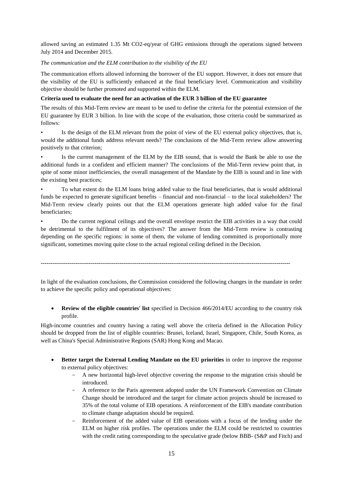allowed saving an estimated 1.35 Mt CO2-eq/year of GHG emissions through the operations signed between July 2014 and December 2015.

### *The communication and the ELM contribution to the visibility of the EU*

The communication efforts allowed informing the borrower of the EU support. However, it does not ensure that the visibility of the EU is sufficiently enhanced at the final beneficiary level. Communication and visibility objective should be further promoted and supported within the ELM.

### **Criteria used to evaluate the need for an activation of the EUR 3 billion of the EU guarantee**

The results of this Mid-Term review are meant to be used to define the criteria for the potential extension of the EU guarantee by EUR 3 billion. In line with the scope of the evaluation, those criteria could be summarized as follows:

Is the design of the ELM relevant from the point of view of the EU external policy objectives, that is, would the additional funds address relevant needs? The conclusions of the Mid-Term review allow answering positively to that criterion;

Is the current management of the ELM by the EIB sound, that is would the Bank be able to use the additional funds in a confident and efficient manner? The conclusions of the Mid-Term review point that, in spite of some minor inefficiencies, the overall management of the Mandate by the EIB is sound and in line with the existing best practices;

• To what extent do the ELM loans bring added value to the final beneficiaries, that is would additional funds be expected to generate significant benefits – financial and non-financial – to the local stakeholders? The Mid-Term review clearly points out that the ELM operations generate high added value for the final beneficiaries;

• Do the current regional ceilings and the overall envelope restrict the EIB activities in a way that could be detrimental to the fulfilment of its objectives? The answer from the Mid-Term review is contrasting depending on the specific regions: in some of them, the volume of lending committed is proportionally more significant, sometimes moving quite close to the actual regional ceiling defined in the Decision.

**----------------------------------------------------------------------------------------------------------------------------------**

In light of the evaluation conclusions, the Commission considered the following changes in the mandate in order to achieve the specific policy and operational objectives:

 **Review of the eligible countries' list** specified in Decision 466/2014/EU according to the country risk profile.

High-income countries and country having a rating well above the criteria defined in the Allocation Policy should be dropped from the list of eligible countries: Brunei, Iceland, Israel, Singapore, Chile, South Korea, as well as China's Special Administrative Regions (SAR) Hong Kong and Macao.

- **Better target the External Lending Mandate on the EU priorities** in order to improve the response to external policy objectives:
	- A new horizontal high-level objective covering the response to the migration crisis should be introduced.
	- A reference to the Paris agreement adopted under the UN Framework Convention on Climate Change should be introduced and the target for climate action projects should be increased to 35% of the total volume of EIB operations. A reinforcement of the EIB's mandate contribution to climate change adaptation should be required.
	- Reinforcement of the added value of EIB operations with a focus of the lending under the ELM on higher risk profiles. The operations under the ELM could be restricted to countries with the credit rating corresponding to the speculative grade (below BBB- (S&P and Fitch) and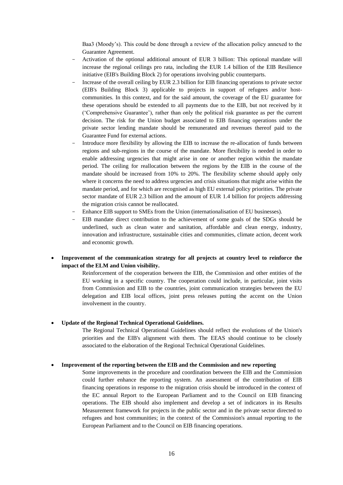Baa3 (Moody's). This could be done through a review of the allocation policy annexed to the Guarantee Agreement.

- Activation of the optional additional amount of EUR 3 billion: This optional mandate will increase the regional ceilings pro rata, including the EUR 1.4 billion of the EIB Resilience initiative (EIB's Building Block 2) for operations involving public counterparts.
- Increase of the overall ceiling by EUR 2.3 billion for EIB financing operations to private sector (EIB's Building Block 3) applicable to projects in support of refugees and/or hostcommunities. In this context, and for the said amount, the coverage of the EU guarantee for these operations should be extended to all payments due to the EIB, but not received by it ('Comprehensive Guarantee'), rather than only the political risk guarantee as per the current decision. The risk for the Union budget associated to EIB financing operations under the private sector lending mandate should be remunerated and revenues thereof paid to the Guarantee Fund for external actions.
- Introduce more flexibility by allowing the EIB to increase the re-allocation of funds between regions and sub-regions in the course of the mandate. More flexibility is needed in order to enable addressing urgencies that might arise in one or another region within the mandate period. The ceiling for reallocation between the regions by the EIB in the course of the mandate should be increased from 10% to 20%. The flexibility scheme should apply only where it concerns the need to address urgencies and crisis situations that might arise within the mandate period, and for which are recognised as high EU external policy priorities. The private sector mandate of EUR 2.3 billion and the amount of EUR 1.4 billion for projects addressing the migration crisis cannot be reallocated.
- Enhance EIB support to SMEs from the Union (internationalisation of EU businesses).
- EIB mandate direct contribution to the achievement of some goals of the SDGs should be underlined, such as clean water and sanitation, affordable and clean energy, industry, innovation and infrastructure, sustainable cities and communities, climate action, decent work and economic growth.

### **Improvement of the communication strategy for all projects at country level to reinforce the impact of the ELM and Union visibility.**

Reinforcement of the cooperation between the EIB, the Commission and other entities of the EU working in a specific country. The cooperation could include, in particular, joint visits from Commission and EIB to the countries, joint communication strategies between the EU delegation and EIB local offices, joint press releases putting the accent on the Union involvement in the country.

#### **Update of the Regional Technical Operational Guidelines.**

The Regional Technical Operational Guidelines should reflect the evolutions of the Union's priorities and the EIB's alignment with them. The EEAS should continue to be closely associated to the elaboration of the Regional Technical Operational Guidelines.

#### **Improvement of the reporting between the EIB and the Commission and new reporting**

Some improvements in the procedure and coordination between the EIB and the Commission could further enhance the reporting system. An assessment of the contribution of EIB financing operations in response to the migration crisis should be introduced in the context of the EC annual Report to the European Parliament and to the Council on EIB financing operations. The EIB should also implement and develop a set of indicators in its Results Measurement framework for projects in the public sector and in the private sector directed to refugees and host communities; in the context of the Commission's annual reporting to the European Parliament and to the Council on EIB financing operations.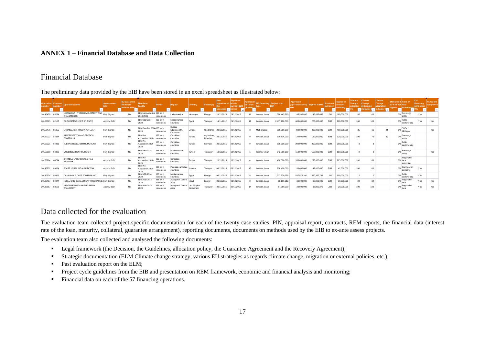# **ANNEX 1 – Financial Database and Data Collection**

# Financial Database

| The preliminary data provided by the EIB have been stored in an excel spreadsheet as illustrated below: |                                      |                                                        |                     |                                            |                                        |                      |                                           |                |                           |                              |                          |          |                                  |               |                                             |               |                             |                       |                                       |                                        |                                        |                                           |                         |                        |
|---------------------------------------------------------------------------------------------------------|--------------------------------------|--------------------------------------------------------|---------------------|--------------------------------------------|----------------------------------------|----------------------|-------------------------------------------|----------------|---------------------------|------------------------------|--------------------------|----------|----------------------------------|---------------|---------------------------------------------|---------------|-----------------------------|-----------------------|---------------------------------------|----------------------------------------|----------------------------------------|-------------------------------------------|-------------------------|------------------------|
| umber                                                                                                   | <b>Operation Contract</b><br>ium bei | Operation name                                         | Avancement          | EU Guarantee<br>limited to                 | Mandate /<br>Facility                  | <b>Funds</b>         | Region                                    | <b>Country</b> | Sector(s)                 | First<br>signature of within | Signature<br>current ELM | duration | <b>EB financing Project cost</b> |               | Approved<br>(operation-level) Signed in EUR |               | Contract<br><b>currency</b> | Signed in<br>contract | Climate<br>Change<br><b>indicator</b> | <b>Climate</b><br>Change<br>mitigation | <b>Climate</b><br>Change<br>adaptation | Disbursed Type of<br>as % of net final    | financing<br>with other | TA / grant<br>componer |
|                                                                                                         |                                      |                                                        |                     | olitical Risks<br>$\overline{\phantom{a}}$ |                                        |                      |                                           |                |                           |                              | eriod                    |          |                                  |               |                                             |               |                             | currency              |                                       | dicator (                              | indicator (                            | beneficiary<br>igned<br>÷<br>$\mathbf{v}$ |                         |                        |
| 20140459 85294                                                                                          |                                      | NICARAGUA HYDRO DEVELOPMENT AND<br><b>TRANSMISSION</b> | <b>Fully Signed</b> | No                                         | ELM Latin America EIB own<br>2014-2020 | resources            | Latin America                             | Nicaragua      | Energy                    | 29/12/2015                   | 29/12/2015               |          | Investm Loan                     | 1.090.445.860 | 145,586,897                                 | 146,092,038   | <b>USD</b>                  | 160,000,000           | 85                                    | 100                                    |                                        | Sovereign<br>0%<br>entity                 | Yes                     |                        |
| 20100613                                                                                                | 82167                                | CAIRO METRO LINE 3 (PHASE 3)                           | Approv BoD          | No                                         | <b>ELM MED 2014-</b><br>2020           | EB own<br>resources  | Mediterranean<br>countries                | Egypt          | Transport                 | 14/11/2012                   | 29/12/2015               | 12       | Investm Loan                     | 2,417,900,000 | 600,000,000                                 | 200.000.000   | <b>EUR</b>                  | 200,000,000           | 100                                   | 100                                    |                                        | Public<br>0%<br>sector entity             | Yes                     | Yes                    |
| 20150476                                                                                                | 85055                                | UKRAINE AGRI-FOOD APEX LOAN                            | <b>Fully Signed</b> | No                                         | ELM East-Ru. 2014- EIB own<br>2020     | resources            | Russia.<br>E.Europe,Sth<br>Caucasus       | Ukraine        |                           | Credit lines 28/12/2015      | 28/12/2015               |          | Multi BI Loan                    | 800.000.000   | 400.000.000                                 | 400.000.000   | <b>EUR</b>                  | 400.000.000           | 35                                    | 11                                     | 24                                     | SMEs<br>$0\%$ MdCaps                      |                         | Yes                    |
| 20150022                                                                                                | 84434                                | AFFORESTATION AND EROSION<br><b>CONTROL</b>            | <b>Fully Signed</b> | No                                         | ELM Pre-<br>Accession 2014-            | EB own<br>resources  | Candidate<br>countries                    | Turkey         | Agriculture,<br>fisheries | 28/12/2015                   | 28/12/2015               |          | Investm Loan                     | 330,816,000   | 120,000,000                                 | 120,000,000   | <b>EUR</b>                  | 120,000,000           | 100                                   | 70                                     | 30                                     | Sovereign<br>0%<br>entity                 |                         |                        |
| 20150021                                                                                                | 84433                                | TUBITAK RESEARCH PROMOTION I                           | Fully Signed        | No                                         | ELM Pre-<br>Accession 2014-<br>2020    | EB own<br>resources  | Candidate<br>countries                    | Turkey         | Services                  | 28/12/2015                   | 28/12/2015               |          | Investm Loan                     | 535,500,000   | 200,000,000                                 | 200,000,000   | <b>EUR</b>                  | 200,000,000           |                                       |                                        |                                        | Public<br>0%<br>sector entity             |                         |                        |
| 20150308                                                                                                | 84809                                | <b>MODERNISATION ROUTIERE II</b>                       | <b>Fully Signed</b> | No                                         | ELM MED 2014-<br>2020                  | EB own<br>resources  | Mediterranean<br>countries                | Tunisia        | Transport                 | 18/12/2015                   | 18/12/2015               |          | Framew k loan                    | 342,900,000   | 150,000,000                                 | 150,000,000   | <b>EUR</b>                  | 150,000,000           |                                       |                                        |                                        | Sovereian<br>0%<br>entity                 |                         | Yes                    |
| 20150294                                                                                                | 84794                                | <b>ISTANBUL UNDERGROUND RAIL</b><br><b>NETWORK</b>     | Approv BoD          | No                                         | ELM Pre-<br>Accession 2014-<br>2020    | EIB own<br>resources | Candidate<br>countries                    | Turkey         | Transport                 | 18/12/2015                   | 18/12/2015               |          | Investm Loan                     | 1.400.000.000 | 350,000,000                                 | 295,000,000   | <b>EUR</b>                  | 295,000,000           | 100                                   | 100                                    |                                        | Regional or<br>0% local<br>authorities    |                         |                        |
| 20140232                                                                                                | 83634                                | ROUTE 10 RAIL REHABILITATION                           | Approv BoD          | No                                         | ELM Pre-<br>Accession 2014<br>2020     | EB own<br>resources  | Potential candidate<br>countries          | Kosovo         | Transport                 | 08/12/2015                   | 08/12/2015               | 16       | Investm Loan                     | 208,400,000   | 80,000,000                                  | 42.000.000    | <b>EUR</b>                  | 42,000,000            | 100                                   | 100                                    |                                        | Commercial<br>0%<br>company               | Yes                     |                        |
| 20140534                                                                                                | 84869                                | DAMANHOUR CCGT POWER PLANT                             | <b>Fully Signed</b> | No                                         | ELM MED 2014-<br>2020                  | EIB own<br>resources | Mediterranean<br>countries                | Egypt          | Energy                    | 06/12/2015                   | 06/12/2015               |          | Investm Loan                     | 1,207,530,255 | 537,875,392                                 | 550, 357, 733 | <b>USD</b>                  | 600,000,000           |                                       |                                        |                                        | Public<br>0%<br>sector entity             | Yes                     |                        |
| 20120407                                                                                                |                                      | NEPAL GRID DEVELOPMENT PROGRAMME Fully Signed          |                     | No                                         | ELM Asia 2014-<br>2020                 | EIB own<br>resources | Asia (excl. Central<br>Asia)              | Nepal          | Enerav                    | 03/12/2015                   | 03/12/2015               |          | Investm Loan                     | 65,159,212    | 30,000,000                                  | 30,000,000    | <b>EUR</b>                  | 30,000,000            | 84                                    | 84                                     |                                        | Regional or<br>0%<br>local                | Yes                     | Yes                    |
| 20130587                                                                                                | 83156                                | VIENTIANE SUSTAINABLE URBAN<br><b>TRANSPORT</b>        | Approv BoD          | No                                         | ELM Asia 2014-<br>2020                 | EIB own<br>resources | Asia (excl. Central Lao People's<br>Asia) | Democratic     | Transport                 | 30/11/2015                   | 30/11/2015               | 14       | Investm Loan                     | 87,760,000    | 20,000,000                                  | 18,905,379    | <b>USD</b>                  | 20,000,000            | 100                                   | 100                                    |                                        | Regional or<br>0%<br>local                | Yes                     | Yes                    |

# <span id="page-16-0"></span>Data collected for the evaluation

The evaluation team collected project-specific documentation for each of the twenty case studies: PIN, appraisal report, contracts, REM reports, the financial data (interest rate of the loan, maturity, collateral, guarantee arrangement), reporting documents, documents on methods used by the EIB to ex-ante assess projects.

The evaluation team also collected and analysed the following documents:

- **Legal framework (the Decision, the Guidelines, allocation policy, the Guarantee Agreement and the Recovery Agreement);**
- Strategic documentation (ELM Climate change strategy, various EU strategies as regards climate change, migration or external policies, etc.);
- Past evaluation report on the ELM;
- **Project cycle guidelines from the EIB and presentation on REM framework, economic and financial analysis and monitoring;**
- Financial data on each of the 57 financing operations.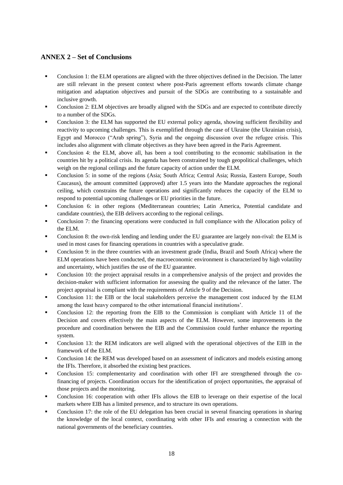# <span id="page-17-0"></span>**ANNEX 2 – Set of Conclusions**

- Conclusion 1: the ELM operations are aligned with the three objectives defined in the Decision. The latter are still relevant in the present context where post-Paris agreement efforts towards climate change mitigation and adaptation objectives and pursuit of the SDGs are contributing to a sustainable and inclusive growth.
- Conclusion 2: ELM objectives are broadly aligned with the SDGs and are expected to contribute directly to a number of the SDGs.
- Conclusion 3: the ELM has supported the EU external policy agenda, showing sufficient flexibility and reactivity to upcoming challenges. This is exemplified through the case of Ukraine (the Ukrainian crisis), Egypt and Morocco ("Arab spring"), Syria and the ongoing discussion over the refugee crisis. This includes also alignment with climate objectives as they have been agreed in the Paris Agreement.
- Conclusion 4: the ELM, above all, has been a tool contributing to the economic stabilisation in the countries hit by a political crisis. Its agenda has been constrained by tough geopolitical challenges, which weigh on the regional ceilings and the future capacity of action under the ELM.
- Conclusion 5: in some of the regions (Asia; South Africa; Central Asia; Russia, Eastern Europe, South Caucasus), the amount committed (approved) after 1.5 years into the Mandate approaches the regional ceiling, which constrains the future operations and significantly reduces the capacity of the ELM to respond to potential upcoming challenges or EU priorities in the future.
- Conclusion 6: in other regions (Mediterranean countries; Latin America, Potential candidate and candidate countries), the EIB delivers according to the regional ceilings.
- Conclusion 7: the financing operations were conducted in full compliance with the Allocation policy of the ELM.
- Conclusion 8: the own-risk lending and lending under the EU guarantee are largely non-rival: the ELM is used in most cases for financing operations in countries with a speculative grade.
- Conclusion 9: in the three countries with an investment grade (India, Brazil and South Africa) where the ELM operations have been conducted, the macroeconomic environment is characterized by high volatility and uncertainty, which justifies the use of the EU guarantee.
- Conclusion 10: the project appraisal results in a comprehensive analysis of the project and provides the decision-maker with sufficient information for assessing the quality and the relevance of the latter. The project appraisal is compliant with the requirements of Article 9 of the Decision.
- Conclusion 11: the EIB or the local stakeholders perceive the management cost induced by the ELM among the least heavy compared to the other international financial institutions'.
- Conclusion 12: the reporting from the EIB to the Commission is compliant with Article 11 of the Decision and covers effectively the main aspects of the ELM. However, some improvements in the procedure and coordination between the EIB and the Commission could further enhance the reporting system.
- Conclusion 13: the REM indicators are well aligned with the operational objectives of the EIB in the framework of the ELM.
- Conclusion 14: the REM was developed based on an assessment of indicators and models existing among the IFIs. Therefore, it absorbed the existing best practices.
- Conclusion 15: complementarity and coordination with other IFI are strengthened through the cofinancing of projects. Coordination occurs for the identification of project opportunities, the appraisal of those projects and the monitoring.
- Conclusion 16: cooperation with other IFIs allows the EIB to leverage on their expertise of the local markets where EIB has a limited presence, and to structure its own operations.
- Conclusion 17: the role of the EU delegation has been crucial in several financing operations in sharing the knowledge of the local context, coordinating with other IFIs and ensuring a connection with the national governments of the beneficiary countries.